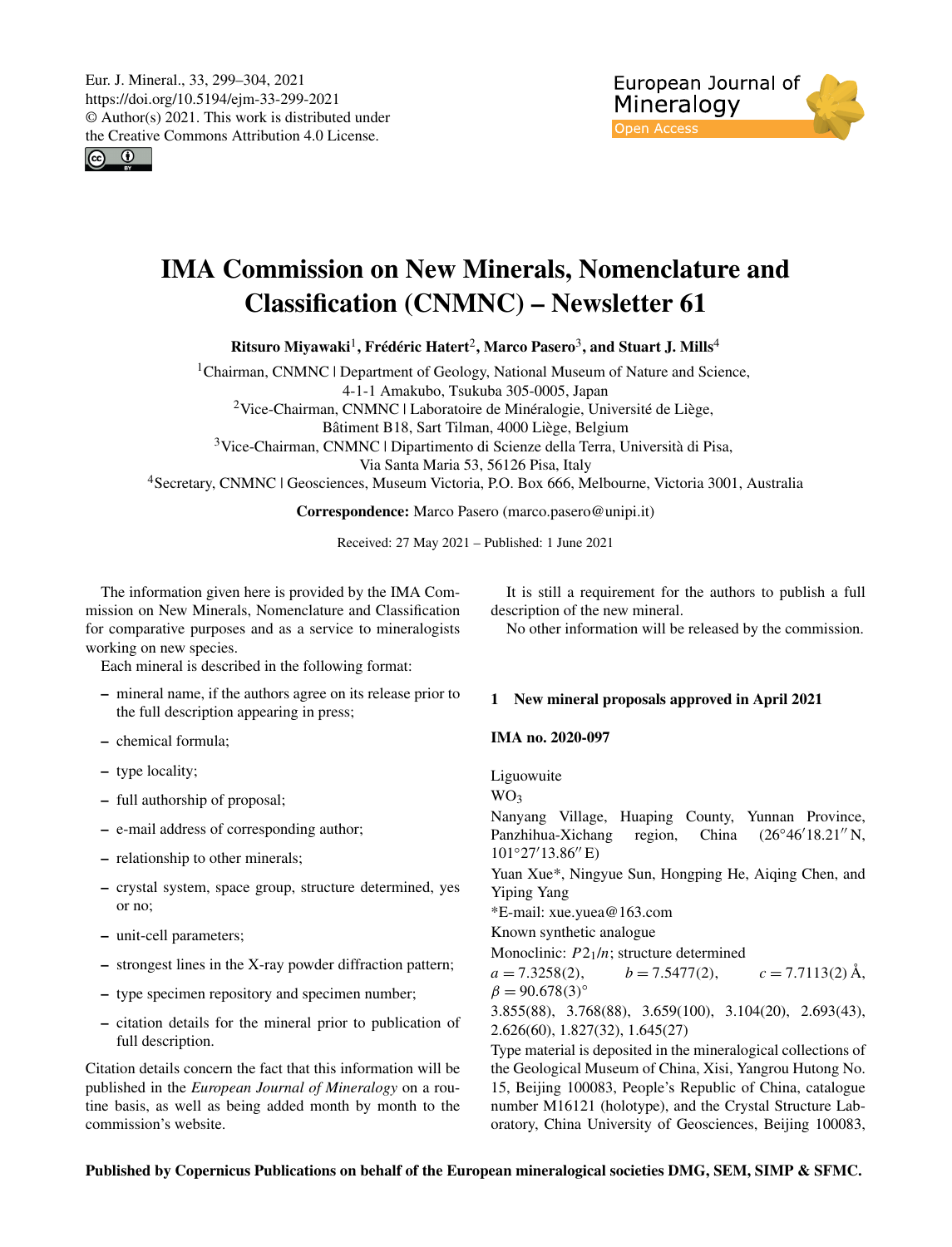Eur. J. Mineral., 33, 299–304, 2021 https://doi.org/10.5194/ejm-33-299-2021 © Author(s) 2021. This work is distributed under the Creative Commons Attribution 4.0 License.

 $\boxed{6}$ 



# IMA Commission on New Minerals, Nomenclature and Classification (CNMNC) – Newsletter 61

Ritsuro Miyawaki $^{\rm l}$ , Frédéric Hatert $^{\rm 2}$  $^{\rm 2}$  $^{\rm 2}$ , Marco Pasero $^{\rm 3}$  $^{\rm 3}$  $^{\rm 3}$ , and Stuart J. Mills $^{\rm 4}$  $^{\rm 4}$  $^{\rm 4}$ 

<sup>1</sup>Chairman, CNMNC | Department of Geology, National Museum of Nature and Science, 4-1-1 Amakubo, Tsukuba 305-0005, Japan <sup>2</sup>Vice-Chairman, CNMNC | Laboratoire de Minéralogie, Université de Liège, Bâtiment B18, Sart Tilman, 4000 Liège, Belgium <sup>3</sup>Vice-Chairman, CNMNC | Dipartimento di Scienze della Terra, Università di Pisa, Via Santa Maria 53, 56126 Pisa, Italy <sup>4</sup>Secretary, CNMNC | Geosciences, Museum Victoria, P.O. Box 666, Melbourne, Victoria 3001, Australia

Correspondence: Marco Pasero (marco.pasero@unipi.it)

Received: 27 May 2021 – Published: 1 June 2021

<span id="page-0-0"></span>The information given here is provided by the IMA Commission on New Minerals, Nomenclature and Classification for comparative purposes and as a service to mineralogists working on new species.

Each mineral is described in the following format:

- mineral name, if the authors agree on its release prior to the full description appearing in press;
- chemical formula;
- type locality;
- full authorship of proposal;
- e-mail address of corresponding author;
- relationship to other minerals;
- crystal system, space group, structure determined, yes or no;
- unit-cell parameters;
- strongest lines in the X-ray powder diffraction pattern;
- type specimen repository and specimen number;
- citation details for the mineral prior to publication of full description.

Citation details concern the fact that this information will be published in the *European Journal of Mineralogy* on a routine basis, as well as being added month by month to the commission's website.

It is still a requirement for the authors to publish a full description of the new mineral.

No other information will be released by the commission.

## 1 New mineral proposals approved in April 2021

#### IMA no. 2020-097

Liguowuite

WO<sup>3</sup> Nanyang Village, Huaping County, Yunnan Province, Panzhihua-Xichang region, China (26°46'18.21" N,  $101°27'13.86''$  E) Yuan Xue\*, Ningyue Sun, Hongping He, Aiqing Chen, and Yiping Yang \*E-mail: xue.yuea@163.com Known synthetic analogue Monoclinic:  $P2_1/n$ ; structure determined  $a = 7.3258(2),$   $b = 7.5477(2),$   $c = 7.7113(2)$  Å,  $β = 90.678(3)°$ 3.855(88), 3.768(88), 3.659(100), 3.104(20), 2.693(43), 2.626(60), 1.827(32), 1.645(27) Type material is deposited in the mineralogical collections of

the Geological Museum of China, Xisi, Yangrou Hutong No. 15, Beijing 100083, People's Republic of China, catalogue number M16121 (holotype), and the Crystal Structure Laboratory, China University of Geosciences, Beijing 100083,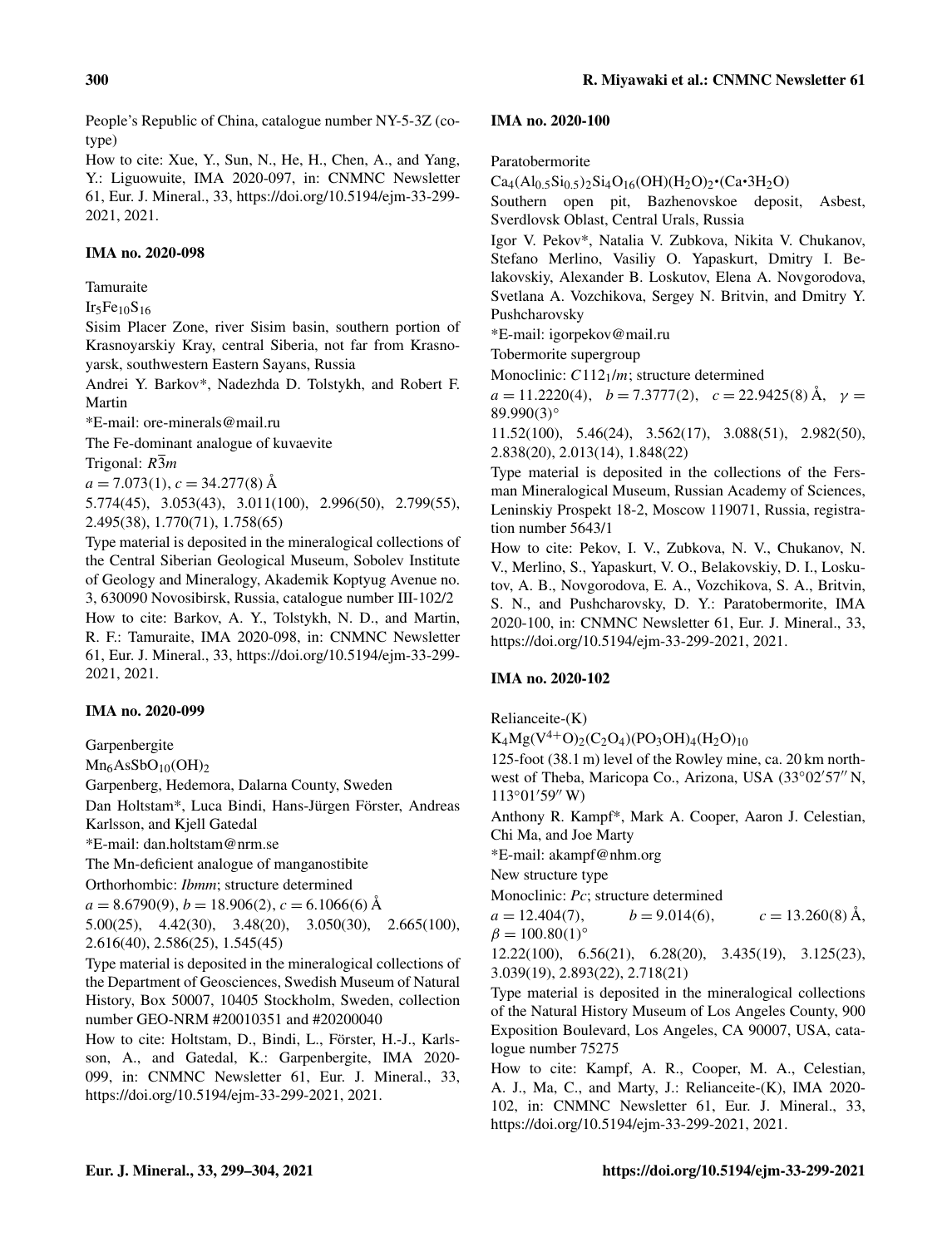People's Republic of China, catalogue number NY-5-3Z (cotype)

How to cite: Xue, Y., Sun, N., He, H., Chen, A., and Yang, Y.: Liguowuite, IMA 2020-097, in: CNMNC Newsletter 61, Eur. J. Mineral., 33, https://doi.org[/10.5194/ejm-33-299-](https://doi.org/10.5194/ejm-33-299-2021) [2021,](https://doi.org/10.5194/ejm-33-299-2021) 2021.

## IMA no. 2020-098

## Tamuraite

 $Ir_5Fe_{10}S_{16}$ 

Sisim Placer Zone, river Sisim basin, southern portion of Krasnoyarskiy Kray, central Siberia, not far from Krasnoyarsk, southwestern Eastern Sayans, Russia

Andrei Y. Barkov\*, Nadezhda D. Tolstykh, and Robert F. Martin

\*E-mail: ore-minerals@mail.ru

The Fe-dominant analogue of kuvaevite Trigonal:  $R\overline{3}m$ 

 $a = 7.073(1), c = 34.277(8)$  Å

5.774(45), 3.053(43), 3.011(100), 2.996(50), 2.799(55), 2.495(38), 1.770(71), 1.758(65)

Type material is deposited in the mineralogical collections of the Central Siberian Geological Museum, Sobolev Institute of Geology and Mineralogy, Akademik Koptyug Avenue no. 3, 630090 Novosibirsk, Russia, catalogue number III-102/2 How to cite: Barkov, A. Y., Tolstykh, N. D., and Martin, R. F.: Tamuraite, IMA 2020-098, in: CNMNC Newsletter 61, Eur. J. Mineral., 33, https://doi.org[/10.5194/ejm-33-299-](https://doi.org/10.5194/ejm-33-299-2021) [2021,](https://doi.org/10.5194/ejm-33-299-2021) 2021.

## IMA no. 2020-099

Garpenbergite

 $Mn<sub>6</sub>AsSbO<sub>10</sub>(OH)2$ 

Garpenberg, Hedemora, Dalarna County, Sweden

Dan Holtstam\*, Luca Bindi, Hans-Jürgen Förster, Andreas Karlsson, and Kjell Gatedal

\*E-mail: dan.holtstam@nrm.se

The Mn-deficient analogue of manganostibite

Orthorhombic: *Ibmm*; structure determined

 $a = 8.6790(9)$ ,  $b = 18.906(2)$ ,  $c = 6.1066(6)$  Å

5.00(25), 4.42(30), 3.48(20), 3.050(30), 2.665(100), 2.616(40), 2.586(25), 1.545(45)

Type material is deposited in the mineralogical collections of the Department of Geosciences, Swedish Museum of Natural History, Box 50007, 10405 Stockholm, Sweden, collection number GEO-NRM #20010351 and #20200040

How to cite: Holtstam, D., Bindi, L., Förster, H.-J., Karlsson, A., and Gatedal, K.: Garpenbergite, IMA 2020- 099, in: CNMNC Newsletter 61, Eur. J. Mineral., 33, https://doi.org[/10.5194/ejm-33-299-2021,](https://doi.org/10.5194/ejm-33-299-2021) 2021.

#### IMA no. 2020-100

Paratobermorite

 $Ca_4(Al_{0.5}Si_{0.5})_2Si_4O_{16}(OH)(H_2O)_2 \cdot (Ca \cdot 3H_2O)$  $\ddot{\phantom{0}}$ 

Southern open pit, Bazhenovskoe deposit, Asbest, Sverdlovsk Oblast, Central Urals, Russia

Igor V. Pekov\*, Natalia V. Zubkova, Nikita V. Chukanov, Stefano Merlino, Vasiliy O. Yapaskurt, Dmitry I. Belakovskiy, Alexander B. Loskutov, Elena A. Novgorodova, Svetlana A. Vozchikova, Sergey N. Britvin, and Dmitry Y. Pushcharovsky

\*E-mail: igorpekov@mail.ru

Tobermorite supergroup

Monoclinic:  $C112<sub>1</sub>/m$ ; structure determined

 $a = 11.2220(4), b = 7.3777(2), c = 22.9425(8)$  Å,  $\gamma =$  $89.990(3)$ °

11.52(100), 5.46(24), 3.562(17), 3.088(51), 2.982(50), 2.838(20), 2.013(14), 1.848(22)

Type material is deposited in the collections of the Fersman Mineralogical Museum, Russian Academy of Sciences, Leninskiy Prospekt 18-2, Moscow 119071, Russia, registration number 5643/1

How to cite: Pekov, I. V., Zubkova, N. V., Chukanov, N. V., Merlino, S., Yapaskurt, V. O., Belakovskiy, D. I., Loskutov, A. B., Novgorodova, E. A., Vozchikova, S. A., Britvin, S. N., and Pushcharovsky, D. Y.: Paratobermorite, IMA 2020-100, in: CNMNC Newsletter 61, Eur. J. Mineral., 33, https://doi.org[/10.5194/ejm-33-299-2021,](https://doi.org/10.5194/ejm-33-299-2021) 2021.

## IMA no. 2020-102

Relianceite-(K)

 $K_4Mg(V^{4+}O)_2(C_2O_4)(PO_3OH)_4(H_2O)_{10}$ 

125-foot (38.1 m) level of the Rowley mine, ca. 20 km northwest of Theba, Maricopa Co., Arizona, USA (33°02'57" N,  $113°01'59''$  W)

Anthony R. Kampf\*, Mark A. Cooper, Aaron J. Celestian, Chi Ma, and Joe Marty

\*E-mail: akampf@nhm.org

New structure type

Monoclinic: *Pc*; structure determined

 $a = 12.404(7),$   $b = 9.014(6),$   $c = 13.260(8)$  Å,  $β = 100.80(1)°$ 

12.22(100), 6.56(21), 6.28(20), 3.435(19), 3.125(23), 3.039(19), 2.893(22), 2.718(21)

Type material is deposited in the mineralogical collections of the Natural History Museum of Los Angeles County, 900 Exposition Boulevard, Los Angeles, CA 90007, USA, catalogue number 75275

How to cite: Kampf, A. R., Cooper, M. A., Celestian, A. J., Ma, C., and Marty, J.: Relianceite-(K), IMA 2020- 102, in: CNMNC Newsletter 61, Eur. J. Mineral., 33, https://doi.org[/10.5194/ejm-33-299-2021,](https://doi.org/10.5194/ejm-33-299-2021) 2021.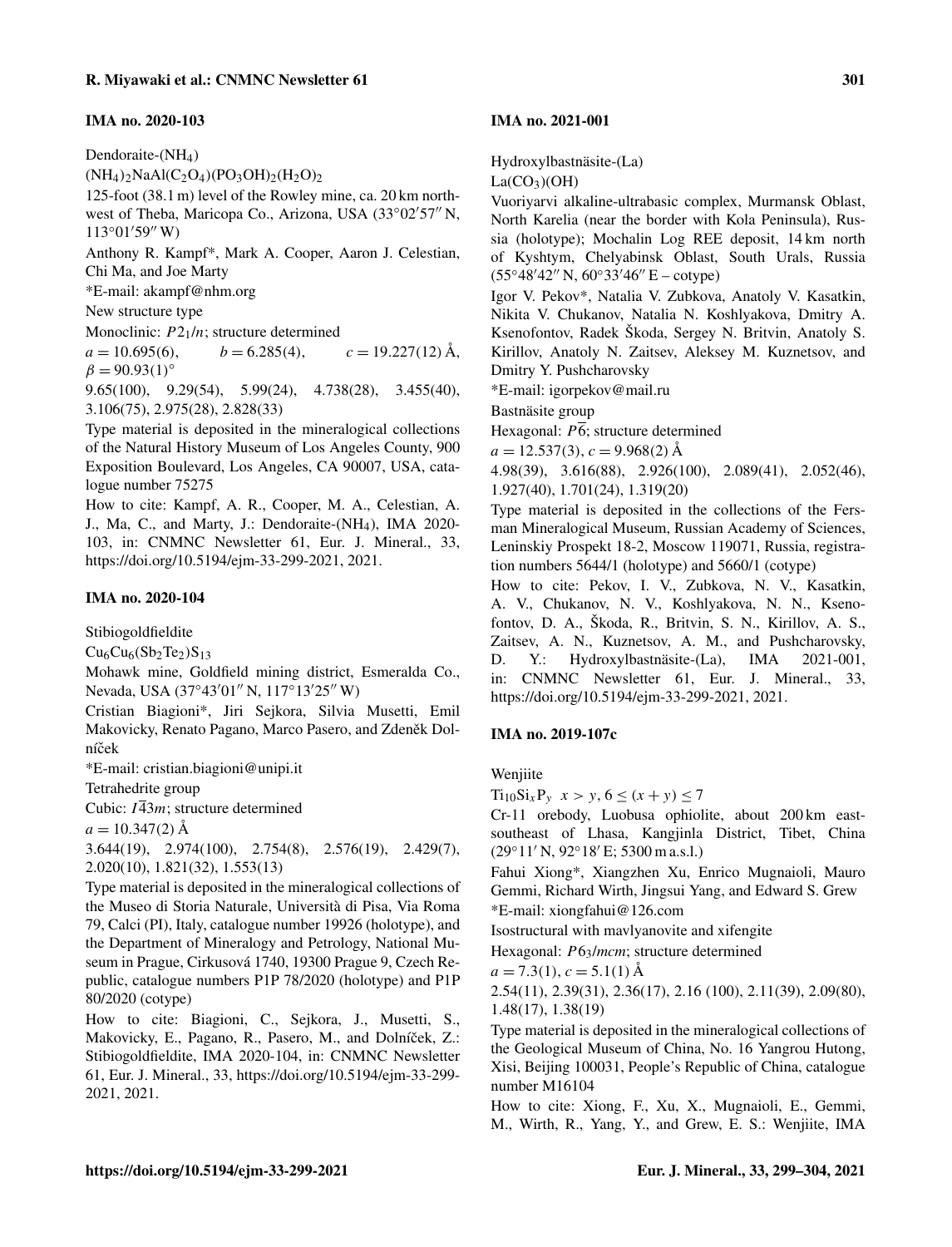## IMA no. 2020-103

Dendoraite-(NH<sub>4</sub>)

 $(NH_4)_2NAAl(C_2O_4)(PO_3OH)_2(H_2O)_2$ 

125-foot (38.1 m) level of the Rowley mine, ca. 20 km northwest of Theba, Maricopa Co., Arizona, USA (33°02'57" N,  $113°01′59″$  W)

Anthony R. Kampf\*, Mark A. Cooper, Aaron J. Celestian, Chi Ma, and Joe Marty

\*E-mail: akampf@nhm.org

New structure type

Monoclinic:  $P2_1/n$ ; structure determined

 $a = 10.695(6),$   $b = 6.285(4),$   $c = 19.227(12)$  Å,  $β = 90.93(1)°$ 

9.65(100), 9.29(54), 5.99(24), 4.738(28), 3.455(40), 3.106(75), 2.975(28), 2.828(33)

Type material is deposited in the mineralogical collections of the Natural History Museum of Los Angeles County, 900 Exposition Boulevard, Los Angeles, CA 90007, USA, catalogue number 75275

How to cite: Kampf, A. R., Cooper, M. A., Celestian, A. J., Ma, C., and Marty, J.: Dendoraite-(NH4), IMA 2020- 103, in: CNMNC Newsletter 61, Eur. J. Mineral., 33, https://doi.org[/10.5194/ejm-33-299-2021,](https://doi.org/10.5194/ejm-33-299-2021) 2021.

## IMA no. 2020-104

Stibiogoldfieldite

 $Cu<sub>6</sub>Cu<sub>6</sub>(Sb<sub>2</sub>Te<sub>2</sub>)S<sub>13</sub>$ 

Mohawk mine, Goldfield mining district, Esmeralda Co., Nevada, USA (37°43'01" N, 117°13'25" W)

Cristian Biagioni\*, Jiri Sejkora, Silvia Musetti, Emil Makovicky, Renato Pagano, Marco Pasero, and Zdeněk Dolníček

\*E-mail: cristian.biagioni@unipi.it

Tetrahedrite group

Cubic:  $I\overline{4}3m$ ; structure determined

 $a = 10.347(2)$  Å

3.644(19), 2.974(100), 2.754(8), 2.576(19), 2.429(7), 2.020(10), 1.821(32), 1.553(13)

Type material is deposited in the mineralogical collections of the Museo di Storia Naturale, Università di Pisa, Via Roma 79, Calci (PI), Italy, catalogue number 19926 (holotype), and the Department of Mineralogy and Petrology, National Museum in Prague, Cirkusová 1740, 19300 Prague 9, Czech Republic, catalogue numbers P1P 78/2020 (holotype) and P1P 80/2020 (cotype)

How to cite: Biagioni, C., Sejkora, J., Musetti, S., Makovicky, E., Pagano, R., Pasero, M., and Dolníček, Z.: Stibiogoldfieldite, IMA 2020-104, in: CNMNC Newsletter 61, Eur. J. Mineral., 33, https://doi.org[/10.5194/ejm-33-299-](https://doi.org/10.5194/ejm-33-299-2021) [2021,](https://doi.org/10.5194/ejm-33-299-2021) 2021.

#### IMA no. 2021-001

Hydroxylbastnäsite-(La)

 $La(CO<sub>3</sub>)(OH)$ 

Vuoriyarvi alkaline-ultrabasic complex, Murmansk Oblast, North Karelia (near the border with Kola Peninsula), Russia (holotype); Mochalin Log REE deposit, 14 km north of Kyshtym, Chelyabinsk Oblast, South Urals, Russia  $(55°48'42'' N, 60°33'46'' E - cotype)$ 

Igor V. Pekov\*, Natalia V. Zubkova, Anatoly V. Kasatkin, Nikita V. Chukanov, Natalia N. Koshlyakova, Dmitry A. Ksenofontov, Radek Škoda, Sergey N. Britvin, Anatoly S. Kirillov, Anatoly N. Zaitsev, Aleksey M. Kuznetsov, and Dmitry Y. Pushcharovsky

\*E-mail: igorpekov@mail.ru

Bastnäsite group

Hexagonal:  $\overline{P6}$ ; structure determined

 $a = 12.537(3), c = 9.968(2)$  Å

4.98(39), 3.616(88), 2.926(100), 2.089(41), 2.052(46), 1.927(40), 1.701(24), 1.319(20)

Type material is deposited in the collections of the Fersman Mineralogical Museum, Russian Academy of Sciences, Leninskiy Prospekt 18-2, Moscow 119071, Russia, registration numbers 5644/1 (holotype) and 5660/1 (cotype)

How to cite: Pekov, I. V., Zubkova, N. V., Kasatkin, A. V., Chukanov, N. V., Koshlyakova, N. N., Ksenofontov, D. A., Škoda, R., Britvin, S. N., Kirillov, A. S., Zaitsev, A. N., Kuznetsov, A. M., and Pushcharovsky, D. Y.: Hydroxylbastnäsite-(La), IMA 2021-001, in: CNMNC Newsletter 61, Eur. J. Mineral., 33, https://doi.org[/10.5194/ejm-33-299-2021,](https://doi.org/10.5194/ejm-33-299-2021) 2021.

#### IMA no. 2019-107c

Wenjiite

 $Ti_{10}Si_xP_y$   $x > y, 6 \le (x + y) \le 7$ 

Cr-11 orebody, Luobusa ophiolite, about 200 km eastsoutheast of Lhasa, Kangjinla District, Tibet, China  $(29°11' N, 92°18' E; 5300 m a.s.l.)$ 

Fahui Xiong\*, Xiangzhen Xu, Enrico Mugnaioli, Mauro Gemmi, Richard Wirth, Jingsui Yang, and Edward S. Grew \*E-mail: xiongfahui@126.com

Isostructural with mavlyanovite and xifengite

Hexagonal: P63/*mcm*; structure determined

 $a = 7.3(1), c = 5.1(1)$  Å

2.54(11), 2.39(31), 2.36(17), 2.16 (100), 2.11(39), 2.09(80), 1.48(17), 1.38(19)

Type material is deposited in the mineralogical collections of the Geological Museum of China, No. 16 Yangrou Hutong, Xisi, Beijing 100031, People's Republic of China, catalogue number M16104

How to cite: Xiong, F., Xu, X., Mugnaioli, E., Gemmi, M., Wirth, R., Yang, Y., and Grew, E. S.: Wenjiite, IMA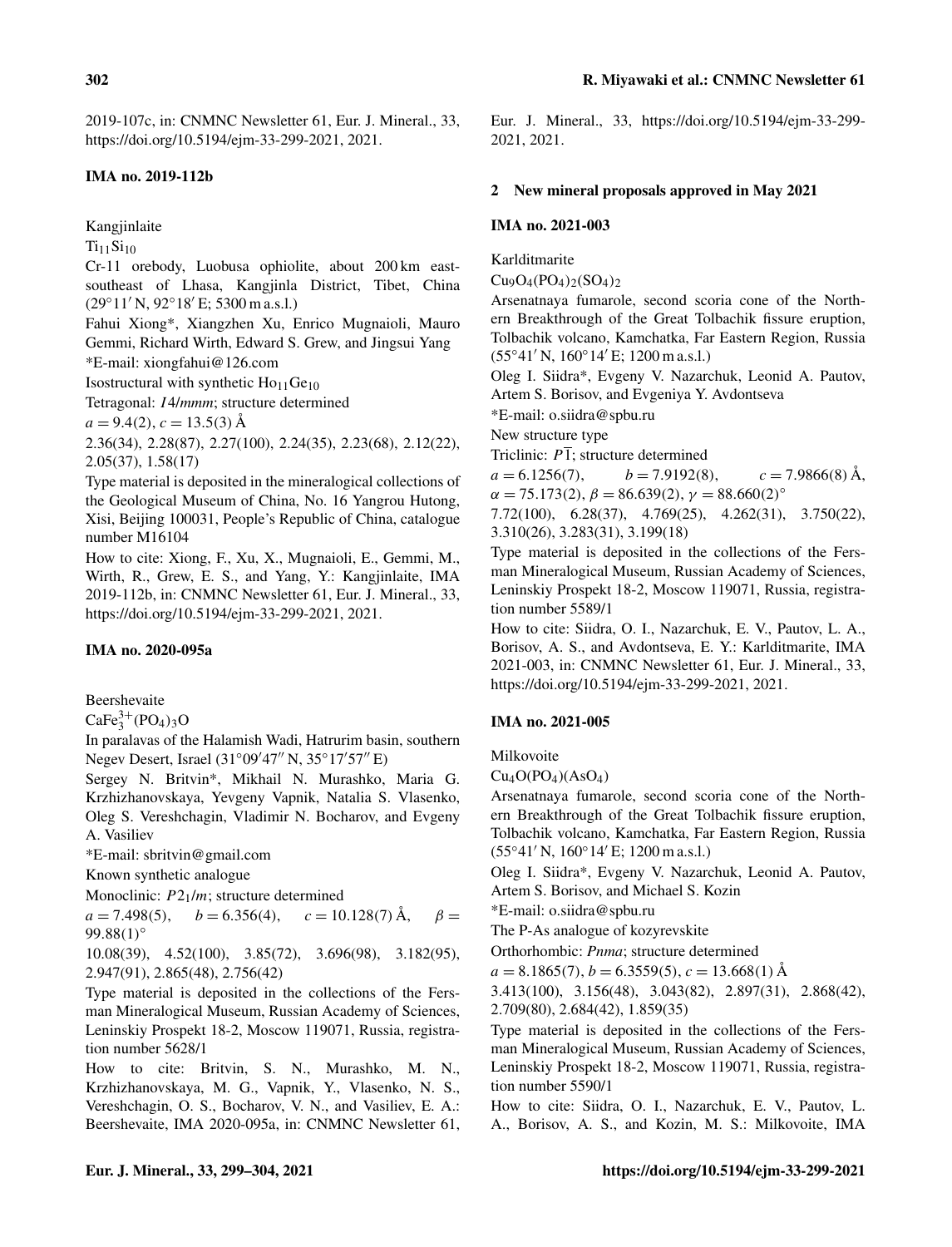2019-107c, in: CNMNC Newsletter 61, Eur. J. Mineral., 33, https://doi.org[/10.5194/ejm-33-299-2021,](https://doi.org/10.5194/ejm-33-299-2021) 2021.

# IMA no. 2019-112b

Kangjinlaite

 $Ti_{11}Si_{10}$ 

Cr-11 orebody, Luobusa ophiolite, about 200 km eastsoutheast of Lhasa, Kangjinla District, Tibet, China  $(29°11' N, 92°18' E; 5300 m a.s.l.)$ 

Fahui Xiong\*, Xiangzhen Xu, Enrico Mugnaioli, Mauro Gemmi, Richard Wirth, Edward S. Grew, and Jingsui Yang \*E-mail: xiongfahui@126.com

Isostructural with synthetic  $Ho<sub>11</sub>Ge<sub>10</sub>$ 

Tetragonal: I4/*mmm*; structure determined

 $a = 9.4(2), c = 13.5(3)$  Å

2.36(34), 2.28(87), 2.27(100), 2.24(35), 2.23(68), 2.12(22), 2.05(37), 1.58(17)

Type material is deposited in the mineralogical collections of the Geological Museum of China, No. 16 Yangrou Hutong, Xisi, Beijing 100031, People's Republic of China, catalogue number M16104

How to cite: Xiong, F., Xu, X., Mugnaioli, E., Gemmi, M., Wirth, R., Grew, E. S., and Yang, Y.: Kangjinlaite, IMA 2019-112b, in: CNMNC Newsletter 61, Eur. J. Mineral., 33, https://doi.org[/10.5194/ejm-33-299-2021,](https://doi.org/10.5194/ejm-33-299-2021) 2021.

# IMA no. 2020-095a

Beershevaite

 $CaFe<sub>3</sub><sup>3+</sup>(PO<sub>4</sub>)<sub>3</sub>O$ 

In paralavas of the Halamish Wadi, Hatrurim basin, southern Negev Desert, Israel (31°09'47" N, 35°17'57" E)

Sergey N. Britvin\*, Mikhail N. Murashko, Maria G. Krzhizhanovskaya, Yevgeny Vapnik, Natalia S. Vlasenko, Oleg S. Vereshchagin, Vladimir N. Bocharov, and Evgeny A. Vasiliev

\*E-mail: sbritvin@gmail.com

Known synthetic analogue

Monoclinic:  $P2_1/m$ ; structure determined

 $a = 7.498(5)$ ,  $b = 6.356(4)$ ,  $c = 10.128(7)$  Å,  $\beta =$  $99.88(1)$ °

10.08(39), 4.52(100), 3.85(72), 3.696(98), 3.182(95), 2.947(91), 2.865(48), 2.756(42)

Type material is deposited in the collections of the Fersman Mineralogical Museum, Russian Academy of Sciences, Leninskiy Prospekt 18-2, Moscow 119071, Russia, registration number 5628/1

How to cite: Britvin, S. N., Murashko, M. N., Krzhizhanovskaya, M. G., Vapnik, Y., Vlasenko, N. S., Vereshchagin, O. S., Bocharov, V. N., and Vasiliev, E. A.: Beershevaite, IMA 2020-095a, in: CNMNC Newsletter 61, Eur. J. Mineral., 33, https://doi.org[/10.5194/ejm-33-299-](https://doi.org/10.5194/ejm-33-299-2021) [2021,](https://doi.org/10.5194/ejm-33-299-2021) 2021.

## 2 New mineral proposals approved in May 2021

## IMA no. 2021-003

Karlditmarite

 $Cu_9O_4(PO_4)_2(SO_4)_2$ 

Arsenatnaya fumarole, second scoria cone of the Northern Breakthrough of the Great Tolbachik fissure eruption, Tolbachik volcano, Kamchatka, Far Eastern Region, Russia  $(55°41' N, 160°14' E; 1200 m a.s.1.)$ 

Oleg I. Siidra\*, Evgeny V. Nazarchuk, Leonid A. Pautov, Artem S. Borisov, and Evgeniya Y. Avdontseva

\*E-mail: o.siidra@spbu.ru

New structure type

Triclinic:  $P\bar{1}$ ; structure determined

 $a = 6.1256(7)$ ,  $b = 7.9192(8)$ ,  $c = 7.9866(8)$  Å,  $\alpha = 75.173(2), \beta = 86.639(2), \gamma = 88.660(2)^{\circ}$ 7.72(100), 6.28(37), 4.769(25), 4.262(31), 3.750(22),

3.310(26), 3.283(31), 3.199(18)

Type material is deposited in the collections of the Fersman Mineralogical Museum, Russian Academy of Sciences, Leninskiy Prospekt 18-2, Moscow 119071, Russia, registration number 5589/1

How to cite: Siidra, O. I., Nazarchuk, E. V., Pautov, L. A., Borisov, A. S., and Avdontseva, E. Y.: Karlditmarite, IMA 2021-003, in: CNMNC Newsletter 61, Eur. J. Mineral., 33, https://doi.org[/10.5194/ejm-33-299-2021,](https://doi.org/10.5194/ejm-33-299-2021) 2021.

# IMA no. 2021-005

Milkovoite

 $Cu<sub>4</sub>O(PO<sub>4</sub>)(AsO<sub>4</sub>)$ 

Arsenatnaya fumarole, second scoria cone of the Northern Breakthrough of the Great Tolbachik fissure eruption, Tolbachik volcano, Kamchatka, Far Eastern Region, Russia  $(55°41' N, 160°14' E; 1200 m a.s.l.)$ 

Oleg I. Siidra\*, Evgeny V. Nazarchuk, Leonid A. Pautov, Artem S. Borisov, and Michael S. Kozin

\*E-mail: o.siidra@spbu.ru

The P-As analogue of kozyrevskite

Orthorhombic: *Pnma*; structure determined

 $a = 8.1865(7), b = 6.3559(5), c = 13.668(1)$  Å

3.413(100), 3.156(48), 3.043(82), 2.897(31), 2.868(42), 2.709(80), 2.684(42), 1.859(35)

Type material is deposited in the collections of the Fersman Mineralogical Museum, Russian Academy of Sciences, Leninskiy Prospekt 18-2, Moscow 119071, Russia, registration number 5590/1

How to cite: Siidra, O. I., Nazarchuk, E. V., Pautov, L. A., Borisov, A. S., and Kozin, M. S.: Milkovoite, IMA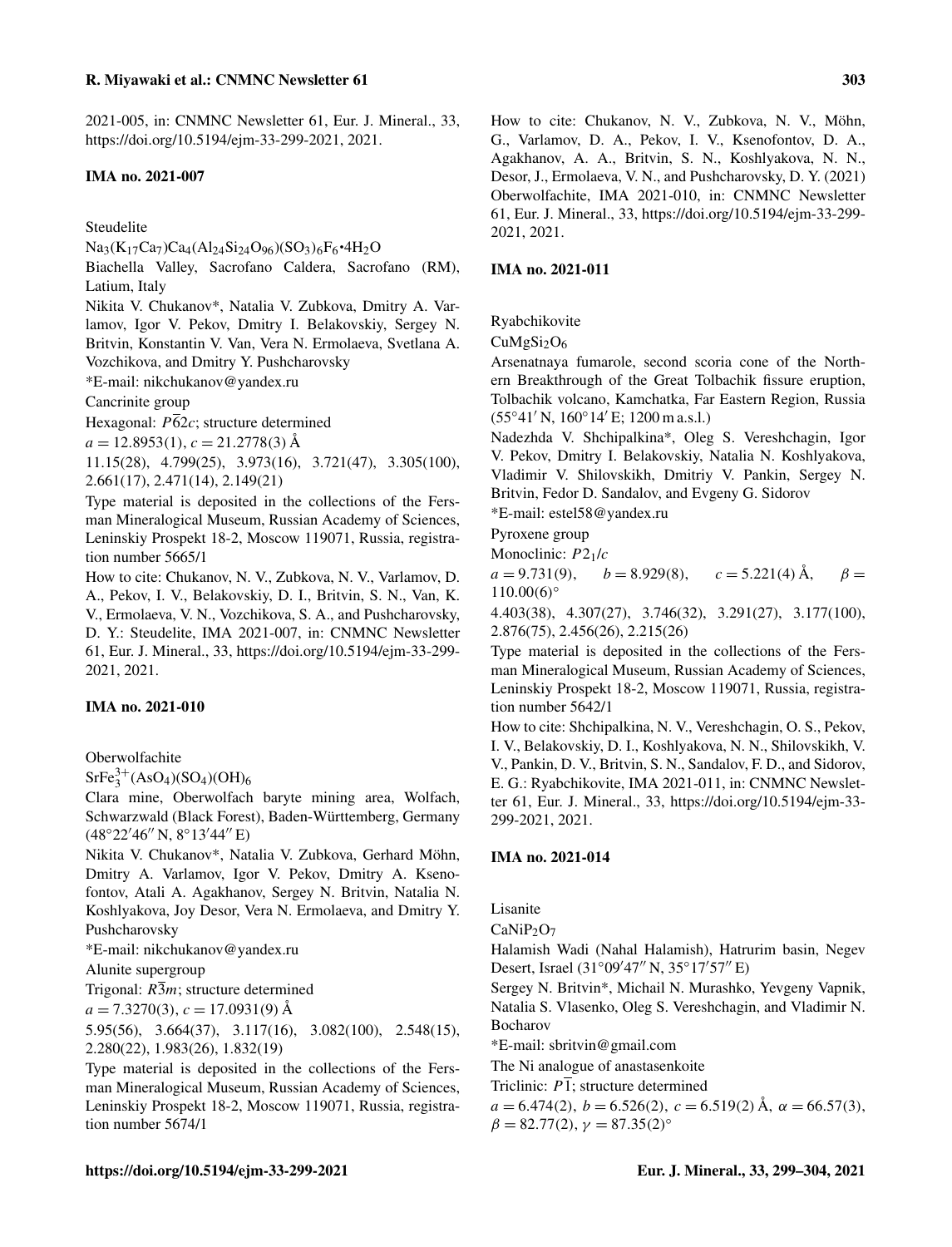2021-005, in: CNMNC Newsletter 61, Eur. J. Mineral., 33, https://doi.org[/10.5194/ejm-33-299-2021,](https://doi.org/10.5194/ejm-33-299-2021) 2021.

#### IMA no. 2021-007

Steudelite

 $Na_3(K_{17}Ca_7)Ca_4(Al_{24}Si_{24}O_{96})(SO_3)_6F_6 \cdot 4H_2O$ 

Biachella Valley, Sacrofano Caldera, Sacrofano (RM), Latium, Italy

Nikita V. Chukanov\*, Natalia V. Zubkova, Dmitry A. Varlamov, Igor V. Pekov, Dmitry I. Belakovskiy, Sergey N. Britvin, Konstantin V. Van, Vera N. Ermolaeva, Svetlana A. Vozchikova, and Dmitry Y. Pushcharovsky

\*E-mail: nikchukanov@yandex.ru

Cancrinite group

Hexagonal:  $\overline{P62c}$ ; structure determined

 $a = 12.8953(1), c = 21.2778(3)$  Å

11.15(28), 4.799(25), 3.973(16), 3.721(47), 3.305(100), 2.661(17), 2.471(14), 2.149(21)

Type material is deposited in the collections of the Fersman Mineralogical Museum, Russian Academy of Sciences, Leninskiy Prospekt 18-2, Moscow 119071, Russia, registration number 5665/1

How to cite: Chukanov, N. V., Zubkova, N. V., Varlamov, D. A., Pekov, I. V., Belakovskiy, D. I., Britvin, S. N., Van, K. V., Ermolaeva, V. N., Vozchikova, S. A., and Pushcharovsky, D. Y.: Steudelite, IMA 2021-007, in: CNMNC Newsletter 61, Eur. J. Mineral., 33, https://doi.org[/10.5194/ejm-33-299-](https://doi.org/10.5194/ejm-33-299-2021) [2021,](https://doi.org/10.5194/ejm-33-299-2021) 2021.

#### IMA no. 2021-010

Oberwolfachite

 $SrFe<sub>3</sub><sup>3+</sup>(AsO<sub>4</sub>)(SO<sub>4</sub>)(OH)<sub>6</sub>$ 

Clara mine, Oberwolfach baryte mining area, Wolfach, Schwarzwald (Black Forest), Baden-Württemberg, Germany  $(48°22'46'' N, 8°13'44'' E)$ 

Nikita V. Chukanov\*, Natalia V. Zubkova, Gerhard Möhn, Dmitry A. Varlamov, Igor V. Pekov, Dmitry A. Ksenofontov, Atali A. Agakhanov, Sergey N. Britvin, Natalia N. Koshlyakova, Joy Desor, Vera N. Ermolaeva, and Dmitry Y. Pushcharovsky

\*E-mail: nikchukanov@yandex.ru

Alunite supergroup

Trigonal:  $R\overline{3}m$ ; structure determined

 $a = 7.3270(3), c = 17.0931(9)$  Å

5.95(56), 3.664(37), 3.117(16), 3.082(100), 2.548(15), 2.280(22), 1.983(26), 1.832(19)

Type material is deposited in the collections of the Fersman Mineralogical Museum, Russian Academy of Sciences, Leninskiy Prospekt 18-2, Moscow 119071, Russia, registration number 5674/1

How to cite: Chukanov, N. V., Zubkova, N. V., Möhn, G., Varlamov, D. A., Pekov, I. V., Ksenofontov, D. A., Agakhanov, A. A., Britvin, S. N., Koshlyakova, N. N., Desor, J., Ermolaeva, V. N., and Pushcharovsky, D. Y. (2021) Oberwolfachite, IMA 2021-010, in: CNMNC Newsletter 61, Eur. J. Mineral., 33, https://doi.org[/10.5194/ejm-33-299-](https://doi.org/10.5194/ejm-33-299-2021) [2021,](https://doi.org/10.5194/ejm-33-299-2021) 2021.

#### IMA no. 2021-011

Ryabchikovite

 $CuMgSi<sub>2</sub>O<sub>6</sub>$ 

Arsenatnaya fumarole, second scoria cone of the Northern Breakthrough of the Great Tolbachik fissure eruption, Tolbachik volcano, Kamchatka, Far Eastern Region, Russia  $(55°41' N, 160°14' E; 1200 m a.s.1.)$ 

Nadezhda V. Shchipalkina\*, Oleg S. Vereshchagin, Igor V. Pekov, Dmitry I. Belakovskiy, Natalia N. Koshlyakova, Vladimir V. Shilovskikh, Dmitriy V. Pankin, Sergey N. Britvin, Fedor D. Sandalov, and Evgeny G. Sidorov

\*E-mail: estel58@yandex.ru

Pyroxene group

Monoclinic:  $P2<sub>1</sub>/c$ 

 $a = 9.731(9)$ ,  $b = 8.929(8)$ ,  $c = 5.221(4)$  Å,  $\beta =$  $110.00(6)$ °

4.403(38), 4.307(27), 3.746(32), 3.291(27), 3.177(100), 2.876(75), 2.456(26), 2.215(26)

Type material is deposited in the collections of the Fersman Mineralogical Museum, Russian Academy of Sciences, Leninskiy Prospekt 18-2, Moscow 119071, Russia, registration number 5642/1

How to cite: Shchipalkina, N. V., Vereshchagin, O. S., Pekov, I. V., Belakovskiy, D. I., Koshlyakova, N. N., Shilovskikh, V. V., Pankin, D. V., Britvin, S. N., Sandalov, F. D., and Sidorov, E. G.: Ryabchikovite, IMA 2021-011, in: CNMNC Newsletter 61, Eur. J. Mineral., 33, https://doi.org[/10.5194/ejm-33-](https://doi.org/10.5194/ejm-33-299-2021) [299-2021,](https://doi.org/10.5194/ejm-33-299-2021) 2021.

#### IMA no. 2021-014

Lisanite

 $CaNiP<sub>2</sub>O<sub>7</sub>$ 

Halamish Wadi (Nahal Halamish), Hatrurim basin, Negev Desert, Israel  $(31°09'47'' N, 35°17'57'' E)$ 

Sergey N. Britvin\*, Michail N. Murashko, Yevgeny Vapnik, Natalia S. Vlasenko, Oleg S. Vereshchagin, and Vladimir N. Bocharov

\*E-mail: sbritvin@gmail.com

The Ni analogue of anastasenkoite

Triclinic:  $P\bar{1}$ ; structure determined

 $a = 6.474(2), b = 6.526(2), c = 6.519(2)$  Å,  $\alpha = 66.57(3)$ ,  $\beta = 82.77(2), \gamma = 87.35(2)$ °